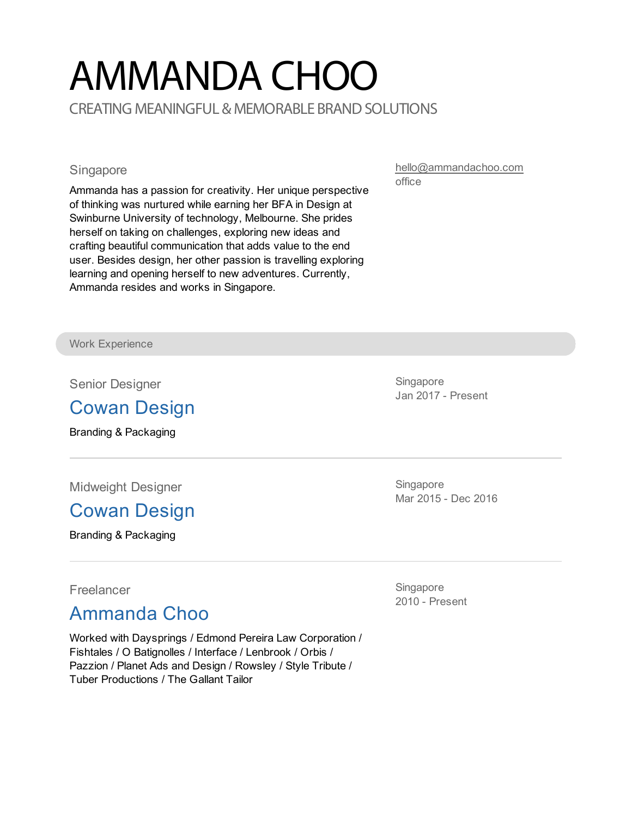# AMMANDA CHOO CREATING MEANINGFUL & MEMORABLE BRAND SOLUTIONS

#### **Singapore**

Ammanda has a passion for creativity. Her unique perspective of thinking was nurtured while earning her BFA in Design at Swinburne University of technology, Melbourne. She prides herself on taking on challenges, exploring new ideas and crafting beautiful communication that adds value to the end user. Besides design, her other passion is travelling exploring learning and opening herself to new adventures. Currently, Ammanda resides and works in Singapore.

[hello@ammandachoo.com](mailto:hello@ammandachoo.com) office

Work Experience

Senior Designer

#### Cowan [Design](http://cowan.com/)

Branding & Packaging

Midweight Designer

### Cowan [Design](http://cowan.com/)

Branding & Packaging

Singapore Jan 2017 - Present

**Singapore** Mar 2015 - Dec 2016

Freelancer

#### Ammanda Choo

Worked with Daysprings / Edmond Pereira Law Corporation / Fishtales / O Batignolles / Interface / Lenbrook / Orbis / Pazzion / Planet Ads and Design / Rowsley / Style Tribute / Tuber Productions / The Gallant Tailor

**Singapore** 2010 - Present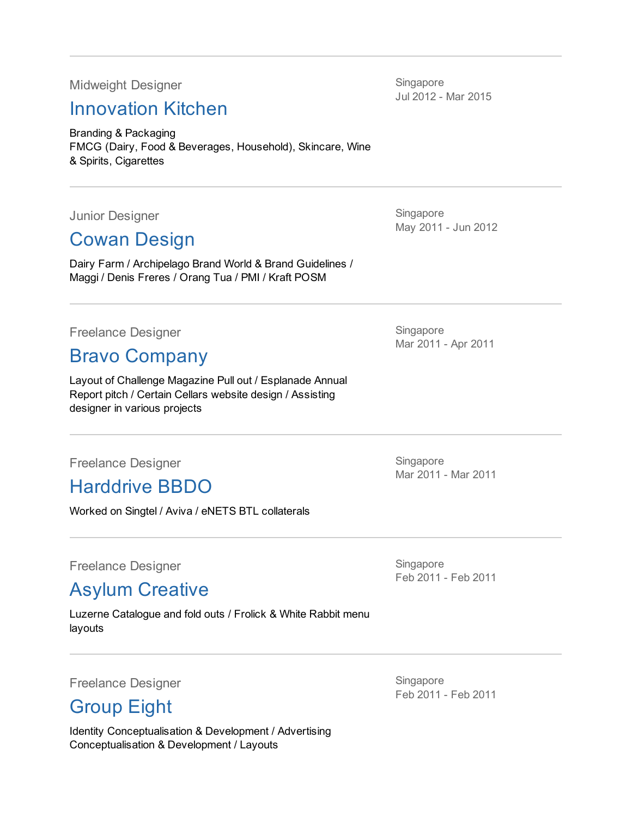Midweight Designer

#### [Innovation](http://www.innovationkitchen.com.sg) Kitchen

Branding & Packaging FMCG (Dairy, Food & Beverages, Household), Skincare, Wine & Spirits, Cigarettes

Junior Designer

## Cowan [Design](http://cowan.com/)

Dairy Farm / Archipelago Brand World & Brand Guidelines / Maggi / Denis Freres / Orang Tua / PMI / Kraft POSM

Freelance Designer

#### Bravo [Company](http://bravo-company.info)

Layout of Challenge Magazine Pull out / Esplanade Annual Report pitch / Certain Cellars website design / Assisting designer in various projects

Freelance Designer

### Harddrive BBDO

Worked on Singtel / Aviva / eNETS BTL collaterals

Freelance Designer

Asylum [Creative](http://www.theasylum.com.sg)

Luzerne Catalogue and fold outs / Frolick & White Rabbit menu layouts

Freelance Designer

### [Group](http://eight.com.sg) Eight

Identity Conceptualisation & Development / Advertising Conceptualisation & Development / Layouts

Singapore Jul 2012 - Mar 2015

**Singapore** May 2011 - Jun 2012

Singapore Mar 2011 - Apr 2011

Singapore Mar 2011 - Mar 2011

**Singapore** Feb 2011 - Feb 2011

Singapore Feb 2011 - Feb 2011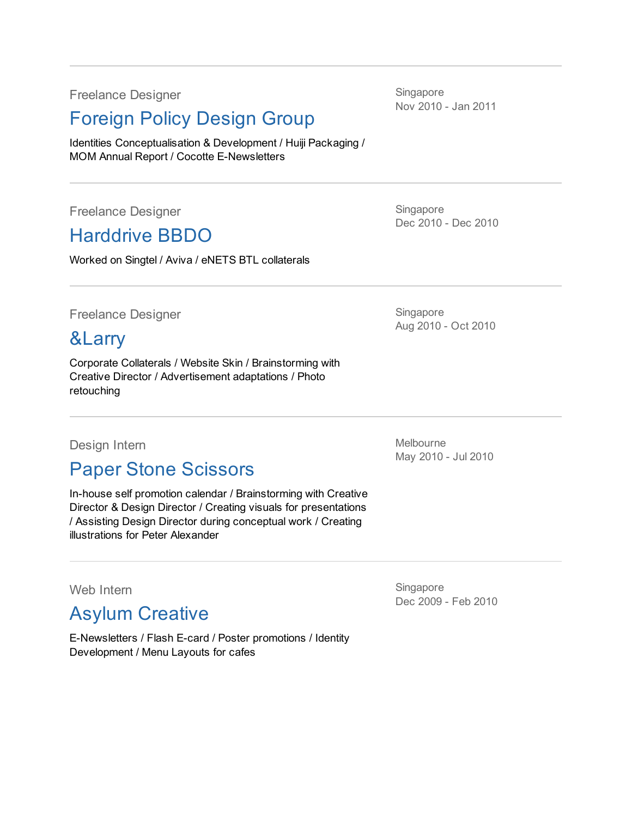Freelance Designer

#### [Foreign](http://foreignpolicydesign.com) Policy Design Group

Identities Conceptualisation & Development / Huiji Packaging / MOM Annual Report / Cocotte E-Newsletters

Freelance Designer

### Harddrive BBDO

Worked on Singtel / Aviva / eNETS BTL collaterals

Freelance Designer

#### [&Larry](http://andlarry.com/)

Corporate Collaterals / Website Skin / Brainstorming with Creative Director / Advertisement adaptations / Photo retouching

#### Design Intern

#### Paper Stone [Scissors](http://www.paperstonescissors.com/)

In-house self promotion calendar / Brainstorming with Creative Director & Design Director / Creating visuals for presentations / Assisting Design Director during conceptual work / Creating illustrations for Peter Alexander

Web Intern

### Asylum [Creative](http://www.theasylum.com.sg)

E-Newsletters / Flash E-card / Poster promotions / Identity Development / Menu Layouts for cafes

**Singapore** Nov 2010 - Jan 2011

Singapore Dec 2010 - Dec 2010

Singapore Aug 2010 - Oct 2010

Melbourne May 2010 - Jul 2010

**Singapore** Dec 2009 - Feb 2010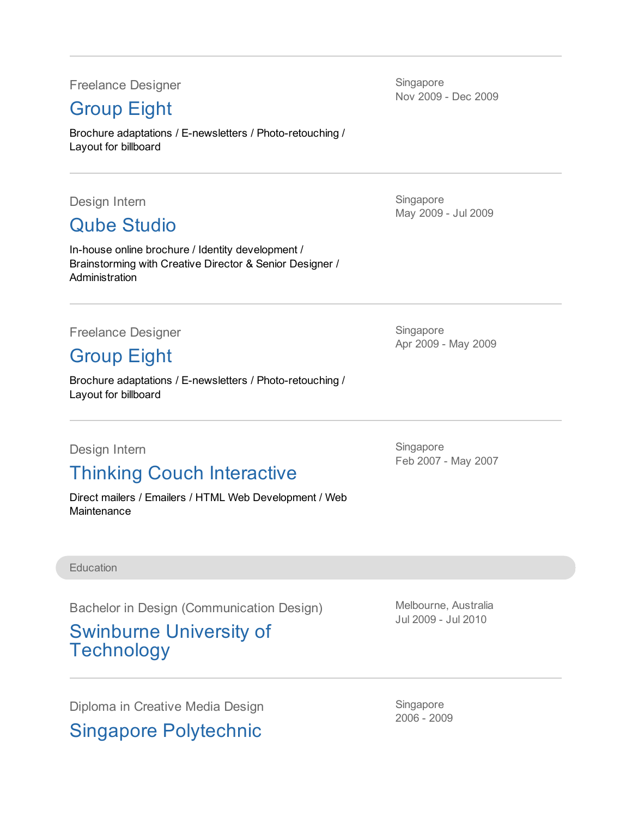Freelance Designer

### [Group](http://eight.com.sg) Eight

Brochure adaptations / E-newsletters / Photo-retouching / Layout for billboard

Design Intern

Qube [Studio](http://www.qubestudio.com)

In-house online brochure / Identity development / Brainstorming with Creative Director & Senior Designer / **Administration** 

Freelance Designer

[Group](http://eight.com.sg) Eight

Brochure adaptations / E-newsletters / Photo-retouching / Layout for billboard

Design Intern

# Thinking Couch Interactive

Direct mailers / Emailers / HTML Web Development / Web **Maintenance** 

Singapore

May 2009 - Jul 2009

Nov 2009 - Dec 2009

**Singapore** 

Singapore

Apr 2009 - May 2009

Singapore Feb 2007 - May 2007

**Education** 

Bachelor in Design (Communication Design)

#### Swinburne University of **Technology**

Diploma in Creative Media Design

Singapore Polytechnic

Melbourne, Australia Jul 2009 - Jul 2010

Singapore 2006 - 2009